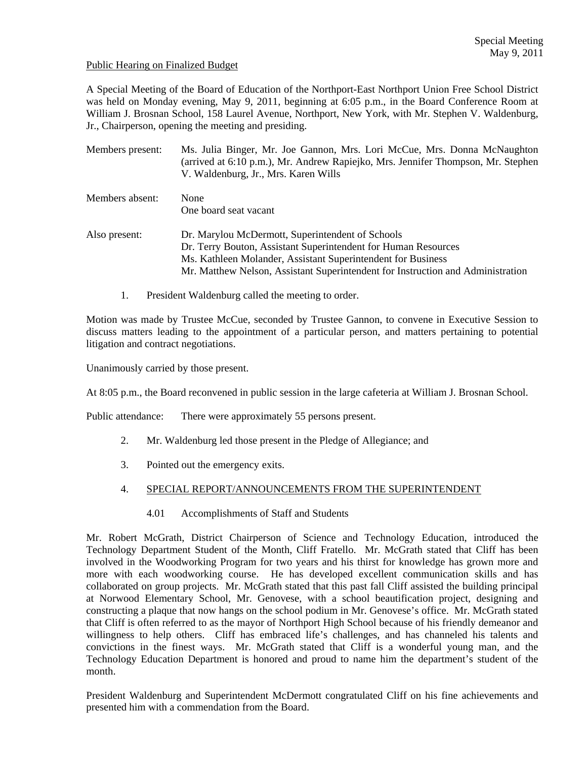### Public Hearing on Finalized Budget

A Special Meeting of the Board of Education of the Northport-East Northport Union Free School District was held on Monday evening, May 9, 2011, beginning at 6:05 p.m., in the Board Conference Room at William J. Brosnan School, 158 Laurel Avenue, Northport, New York, with Mr. Stephen V. Waldenburg, Jr., Chairperson, opening the meeting and presiding.

| Members present: | Ms. Julia Binger, Mr. Joe Gannon, Mrs. Lori McCue, Mrs. Donna McNaughton<br>(arrived at 6:10 p.m.), Mr. Andrew Rapiejko, Mrs. Jennifer Thompson, Mr. Stephen<br>V. Waldenburg, Jr., Mrs. Karen Wills                                                                  |
|------------------|-----------------------------------------------------------------------------------------------------------------------------------------------------------------------------------------------------------------------------------------------------------------------|
| Members absent:  | None<br>One board seat vacant                                                                                                                                                                                                                                         |
| Also present:    | Dr. Marylou McDermott, Superintendent of Schools<br>Dr. Terry Bouton, Assistant Superintendent for Human Resources<br>Ms. Kathleen Molander, Assistant Superintendent for Business<br>Mr. Matthew Nelson, Assistant Superintendent for Instruction and Administration |

1. President Waldenburg called the meeting to order.

Motion was made by Trustee McCue, seconded by Trustee Gannon, to convene in Executive Session to discuss matters leading to the appointment of a particular person, and matters pertaining to potential litigation and contract negotiations.

Unanimously carried by those present.

At 8:05 p.m., the Board reconvened in public session in the large cafeteria at William J. Brosnan School.

Public attendance: There were approximately 55 persons present.

- 2. Mr. Waldenburg led those present in the Pledge of Allegiance; and
- 3. Pointed out the emergency exits.
- 4. SPECIAL REPORT/ANNOUNCEMENTS FROM THE SUPERINTENDENT
	- 4.01 Accomplishments of Staff and Students

Mr. Robert McGrath, District Chairperson of Science and Technology Education, introduced the Technology Department Student of the Month, Cliff Fratello. Mr. McGrath stated that Cliff has been involved in the Woodworking Program for two years and his thirst for knowledge has grown more and more with each woodworking course. He has developed excellent communication skills and has collaborated on group projects. Mr. McGrath stated that this past fall Cliff assisted the building principal at Norwood Elementary School, Mr. Genovese, with a school beautification project, designing and constructing a plaque that now hangs on the school podium in Mr. Genovese's office. Mr. McGrath stated that Cliff is often referred to as the mayor of Northport High School because of his friendly demeanor and willingness to help others. Cliff has embraced life's challenges, and has channeled his talents and convictions in the finest ways. Mr. McGrath stated that Cliff is a wonderful young man, and the Technology Education Department is honored and proud to name him the department's student of the month.

President Waldenburg and Superintendent McDermott congratulated Cliff on his fine achievements and presented him with a commendation from the Board.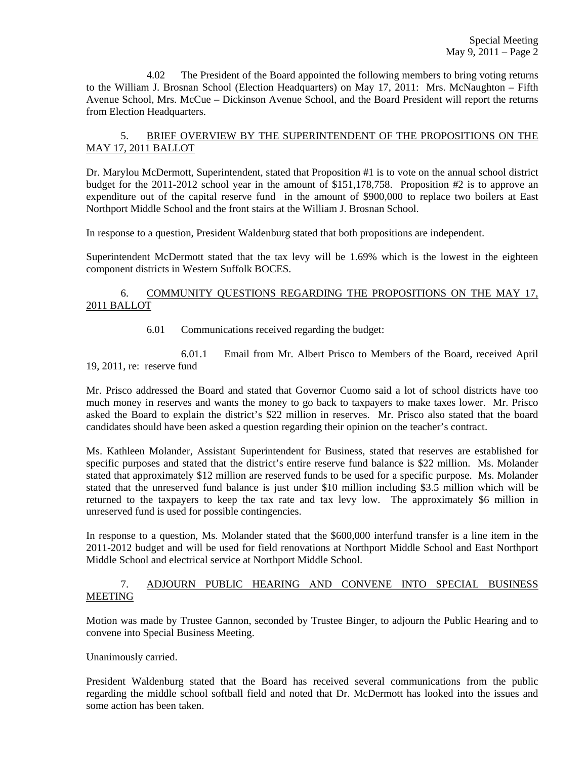4.02 The President of the Board appointed the following members to bring voting returns to the William J. Brosnan School (Election Headquarters) on May 17, 2011: Mrs. McNaughton – Fifth Avenue School, Mrs. McCue – Dickinson Avenue School, and the Board President will report the returns from Election Headquarters.

# 5. BRIEF OVERVIEW BY THE SUPERINTENDENT OF THE PROPOSITIONS ON THE MAY 17, 2011 BALLOT

Dr. Marylou McDermott, Superintendent, stated that Proposition #1 is to vote on the annual school district budget for the 2011-2012 school year in the amount of \$151,178,758. Proposition #2 is to approve an expenditure out of the capital reserve fund in the amount of \$900,000 to replace two boilers at East Northport Middle School and the front stairs at the William J. Brosnan School.

In response to a question, President Waldenburg stated that both propositions are independent.

Superintendent McDermott stated that the tax levy will be 1.69% which is the lowest in the eighteen component districts in Western Suffolk BOCES.

# 6. COMMUNITY QUESTIONS REGARDING THE PROPOSITIONS ON THE MAY 17, 2011 BALLOT

6.01 Communications received regarding the budget:

 6.01.1 Email from Mr. Albert Prisco to Members of the Board, received April 19, 2011, re: reserve fund

Mr. Prisco addressed the Board and stated that Governor Cuomo said a lot of school districts have too much money in reserves and wants the money to go back to taxpayers to make taxes lower. Mr. Prisco asked the Board to explain the district's \$22 million in reserves. Mr. Prisco also stated that the board candidates should have been asked a question regarding their opinion on the teacher's contract.

Ms. Kathleen Molander, Assistant Superintendent for Business, stated that reserves are established for specific purposes and stated that the district's entire reserve fund balance is \$22 million. Ms. Molander stated that approximately \$12 million are reserved funds to be used for a specific purpose. Ms. Molander stated that the unreserved fund balance is just under \$10 million including \$3.5 million which will be returned to the taxpayers to keep the tax rate and tax levy low. The approximately \$6 million in unreserved fund is used for possible contingencies.

In response to a question, Ms. Molander stated that the \$600,000 interfund transfer is a line item in the 2011-2012 budget and will be used for field renovations at Northport Middle School and East Northport Middle School and electrical service at Northport Middle School.

# 7. ADJOURN PUBLIC HEARING AND CONVENE INTO SPECIAL BUSINESS MEETING

Motion was made by Trustee Gannon, seconded by Trustee Binger, to adjourn the Public Hearing and to convene into Special Business Meeting.

## Unanimously carried.

President Waldenburg stated that the Board has received several communications from the public regarding the middle school softball field and noted that Dr. McDermott has looked into the issues and some action has been taken.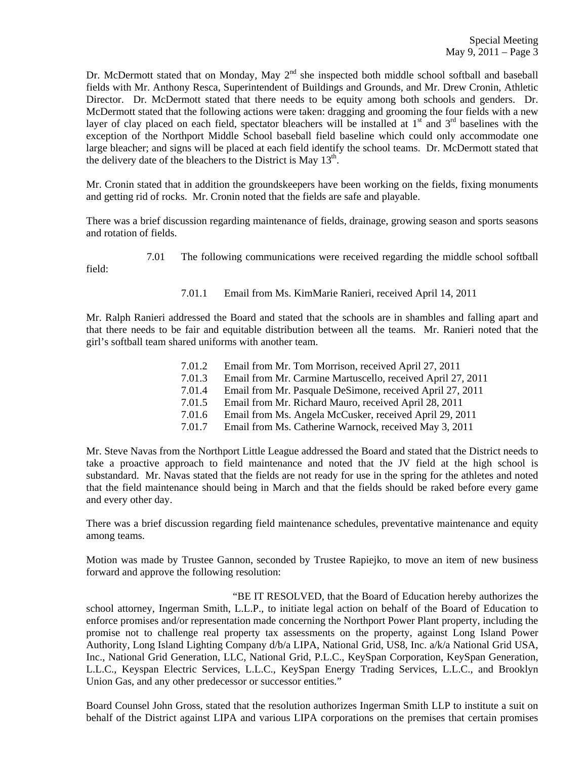Dr. McDermott stated that on Monday, May 2<sup>nd</sup> she inspected both middle school softball and baseball fields with Mr. Anthony Resca, Superintendent of Buildings and Grounds, and Mr. Drew Cronin, Athletic Director. Dr. McDermott stated that there needs to be equity among both schools and genders. Dr. McDermott stated that the following actions were taken: dragging and grooming the four fields with a new layer of clay placed on each field, spectator bleachers will be installed at  $1<sup>st</sup>$  and  $3<sup>rd</sup>$  baselines with the exception of the Northport Middle School baseball field baseline which could only accommodate one large bleacher; and signs will be placed at each field identify the school teams. Dr. McDermott stated that the delivery date of the bleachers to the District is May  $13<sup>th</sup>$ .

Mr. Cronin stated that in addition the groundskeepers have been working on the fields, fixing monuments and getting rid of rocks. Mr. Cronin noted that the fields are safe and playable.

There was a brief discussion regarding maintenance of fields, drainage, growing season and sports seasons and rotation of fields.

7.01 The following communications were received regarding the middle school softball

7.01.1 Email from Ms. KimMarie Ranieri, received April 14, 2011

field:

Mr. Ralph Ranieri addressed the Board and stated that the schools are in shambles and falling apart and that there needs to be fair and equitable distribution between all the teams. Mr. Ranieri noted that the girl's softball team shared uniforms with another team.

| 7.01.2<br>7.01.3<br>7.01.4<br>7.01.5<br>7.01.6 | Email from Mr. Tom Morrison, received April 27, 2011<br>Email from Mr. Carmine Martuscello, received April 27, 2011<br>Email from Mr. Pasquale DeSimone, received April 27, 2011<br>Email from Mr. Richard Mauro, received April 28, 2011 |
|------------------------------------------------|-------------------------------------------------------------------------------------------------------------------------------------------------------------------------------------------------------------------------------------------|
| 7.01.7                                         | Email from Ms. Angela McCusker, received April 29, 2011<br>Email from Ms. Catherine Warnock, received May 3, 2011                                                                                                                         |

Mr. Steve Navas from the Northport Little League addressed the Board and stated that the District needs to take a proactive approach to field maintenance and noted that the JV field at the high school is substandard. Mr. Navas stated that the fields are not ready for use in the spring for the athletes and noted that the field maintenance should being in March and that the fields should be raked before every game and every other day.

There was a brief discussion regarding field maintenance schedules, preventative maintenance and equity among teams.

Motion was made by Trustee Gannon, seconded by Trustee Rapiejko, to move an item of new business forward and approve the following resolution:

 "BE IT RESOLVED, that the Board of Education hereby authorizes the school attorney, Ingerman Smith, L.L.P., to initiate legal action on behalf of the Board of Education to enforce promises and/or representation made concerning the Northport Power Plant property, including the promise not to challenge real property tax assessments on the property, against Long Island Power Authority, Long Island Lighting Company d/b/a LIPA, National Grid, US8, Inc. a/k/a National Grid USA, Inc., National Grid Generation, LLC, National Grid, P.L.C., KeySpan Corporation, KeySpan Generation, L.L.C., Keyspan Electric Services, L.L.C., KeySpan Energy Trading Services, L.L.C., and Brooklyn Union Gas, and any other predecessor or successor entities."

Board Counsel John Gross, stated that the resolution authorizes Ingerman Smith LLP to institute a suit on behalf of the District against LIPA and various LIPA corporations on the premises that certain promises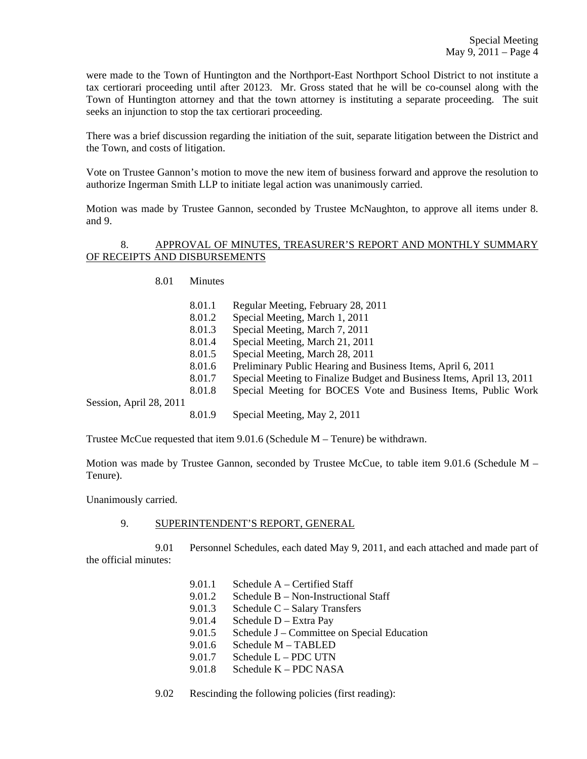were made to the Town of Huntington and the Northport-East Northport School District to not institute a tax certiorari proceeding until after 20123. Mr. Gross stated that he will be co-counsel along with the Town of Huntington attorney and that the town attorney is instituting a separate proceeding. The suit seeks an injunction to stop the tax certiorari proceeding.

There was a brief discussion regarding the initiation of the suit, separate litigation between the District and the Town, and costs of litigation.

Vote on Trustee Gannon's motion to move the new item of business forward and approve the resolution to authorize Ingerman Smith LLP to initiate legal action was unanimously carried.

Motion was made by Trustee Gannon, seconded by Trustee McNaughton, to approve all items under 8. and 9.

### 8. APPROVAL OF MINUTES, TREASURER'S REPORT AND MONTHLY SUMMARY OF RECEIPTS AND DISBURSEMENTS

8.01 Minutes

- 8.01.1 Regular Meeting, February 28, 2011
- 8.01.2 Special Meeting, March 1, 2011
- 8.01.3 Special Meeting, March 7, 2011
- 8.01.4 Special Meeting, March 21, 2011
- 8.01.5 Special Meeting, March 28, 2011
- 8.01.6 Preliminary Public Hearing and Business Items, April 6, 2011
- 8.01.7 Special Meeting to Finalize Budget and Business Items, April 13, 2011
- 8.01.8 Special Meeting for BOCES Vote and Business Items, Public Work

Session, April 28, 2011

8.01.9 Special Meeting, May 2, 2011

Trustee McCue requested that item 9.01.6 (Schedule M – Tenure) be withdrawn.

Motion was made by Trustee Gannon, seconded by Trustee McCue, to table item 9.01.6 (Schedule M – Tenure).

Unanimously carried.

### 9. SUPERINTENDENT'S REPORT, GENERAL

 9.01 Personnel Schedules, each dated May 9, 2011, and each attached and made part of the official minutes:

- 9.01.1 Schedule A Certified Staff
- 9.01.2 Schedule B Non-Instructional Staff
	- 9.01.3 Schedule C Salary Transfers
	- 9.01.4 Schedule D Extra Pay
	- 9.01.5 Schedule J Committee on Special Education
	- 9.01.6 Schedule M TABLED
	- 9.01.7 Schedule L PDC UTN
- 9.01.8 Schedule K PDC NASA

9.02 Rescinding the following policies (first reading):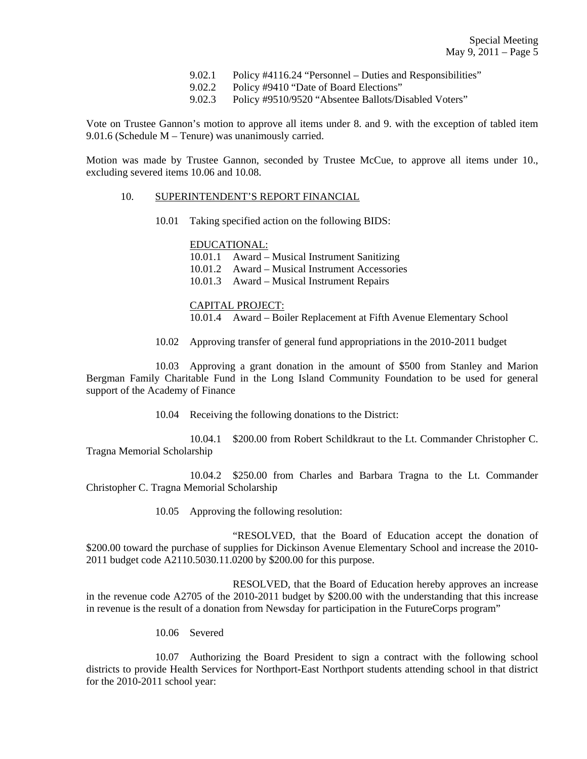- 9.02.1 Policy #4116.24 "Personnel Duties and Responsibilities"
- 9.02.2 Policy #9410 "Date of Board Elections"
- 9.02.3 Policy #9510/9520 "Absentee Ballots/Disabled Voters"

Vote on Trustee Gannon's motion to approve all items under 8. and 9. with the exception of tabled item 9.01.6 (Schedule M – Tenure) was unanimously carried.

Motion was made by Trustee Gannon, seconded by Trustee McCue, to approve all items under 10., excluding severed items 10.06 and 10.08.

#### 10. SUPERINTENDENT'S REPORT FINANCIAL

10.01 Taking specified action on the following BIDS:

#### EDUCATIONAL:

 10.01.1 Award – Musical Instrument Sanitizing 10.01.2 Award – Musical Instrument Accessories

10.01.3 Award – Musical Instrument Repairs

### CAPITAL PROJECT:

10.01.4 Award – Boiler Replacement at Fifth Avenue Elementary School

10.02 Approving transfer of general fund appropriations in the 2010-2011 budget

 10.03 Approving a grant donation in the amount of \$500 from Stanley and Marion Bergman Family Charitable Fund in the Long Island Community Foundation to be used for general support of the Academy of Finance

10.04 Receiving the following donations to the District:

 10.04.1 \$200.00 from Robert Schildkraut to the Lt. Commander Christopher C. Tragna Memorial Scholarship

 10.04.2 \$250.00 from Charles and Barbara Tragna to the Lt. Commander Christopher C. Tragna Memorial Scholarship

10.05 Approving the following resolution:

 "RESOLVED, that the Board of Education accept the donation of \$200.00 toward the purchase of supplies for Dickinson Avenue Elementary School and increase the 2010-2011 budget code A2110.5030.11.0200 by \$200.00 for this purpose.

 RESOLVED, that the Board of Education hereby approves an increase in the revenue code A2705 of the 2010-2011 budget by \$200.00 with the understanding that this increase in revenue is the result of a donation from Newsday for participation in the FutureCorps program"

10.06 Severed

 10.07 Authorizing the Board President to sign a contract with the following school districts to provide Health Services for Northport-East Northport students attending school in that district for the 2010-2011 school year: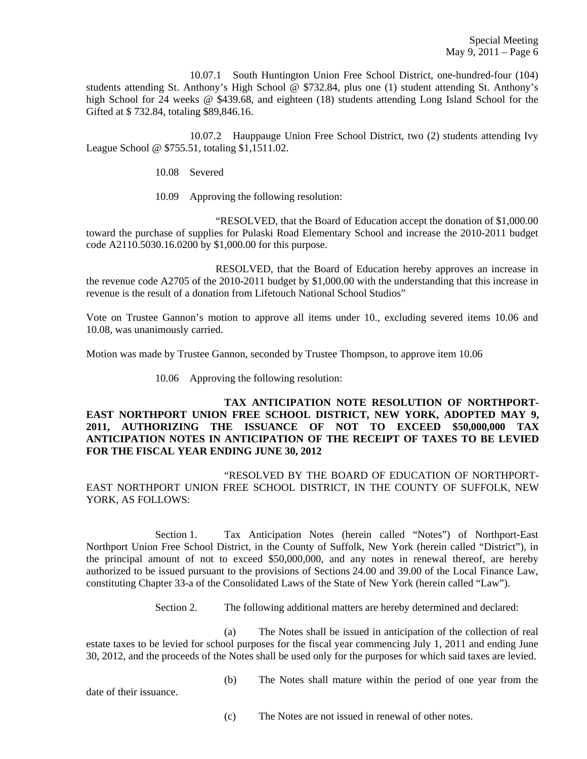10.07.1 South Huntington Union Free School District, one-hundred-four (104) students attending St. Anthony's High School @ \$732.84, plus one (1) student attending St. Anthony's high School for 24 weeks @ \$439.68, and eighteen (18) students attending Long Island School for the Gifted at \$ 732.84, totaling \$89,846.16.

 10.07.2 Hauppauge Union Free School District, two (2) students attending Ivy League School @ \$755.51, totaling \$1,1511.02.

10.08 Severed

10.09 Approving the following resolution:

 "RESOLVED, that the Board of Education accept the donation of \$1,000.00 toward the purchase of supplies for Pulaski Road Elementary School and increase the 2010-2011 budget code A2110.5030.16.0200 by \$1,000.00 for this purpose.

 RESOLVED, that the Board of Education hereby approves an increase in the revenue code A2705 of the 2010-2011 budget by \$1,000.00 with the understanding that this increase in revenue is the result of a donation from Lifetouch National School Studios"

Vote on Trustee Gannon's motion to approve all items under 10., excluding severed items 10.06 and 10.08, was unanimously carried.

Motion was made by Trustee Gannon, seconded by Trustee Thompson, to approve item 10.06

10.06 Approving the following resolution:

## **TAX ANTICIPATION NOTE RESOLUTION OF NORTHPORT-EAST NORTHPORT UNION FREE SCHOOL DISTRICT, NEW YORK, ADOPTED MAY 9, 2011, AUTHORIZING THE ISSUANCE OF NOT TO EXCEED \$50,000,000 TAX ANTICIPATION NOTES IN ANTICIPATION OF THE RECEIPT OF TAXES TO BE LEVIED FOR THE FISCAL YEAR ENDING JUNE 30, 2012**

"RESOLVED BY THE BOARD OF EDUCATION OF NORTHPORT-EAST NORTHPORT UNION FREE SCHOOL DISTRICT, IN THE COUNTY OF SUFFOLK, NEW YORK, AS FOLLOWS:

Section 1. Tax Anticipation Notes (herein called "Notes") of Northport-East Northport Union Free School District, in the County of Suffolk, New York (herein called "District"), in the principal amount of not to exceed \$50,000,000, and any notes in renewal thereof, are hereby authorized to be issued pursuant to the provisions of Sections 24.00 and 39.00 of the Local Finance Law, constituting Chapter 33-a of the Consolidated Laws of the State of New York (herein called "Law").

Section 2. The following additional matters are hereby determined and declared:

(a) The Notes shall be issued in anticipation of the collection of real estate taxes to be levied for school purposes for the fiscal year commencing July 1, 2011 and ending June 30, 2012, and the proceeds of the Notes shall be used only for the purposes for which said taxes are levied.

date of their issuance.

(b) The Notes shall mature within the period of one year from the

(c) The Notes are not issued in renewal of other notes.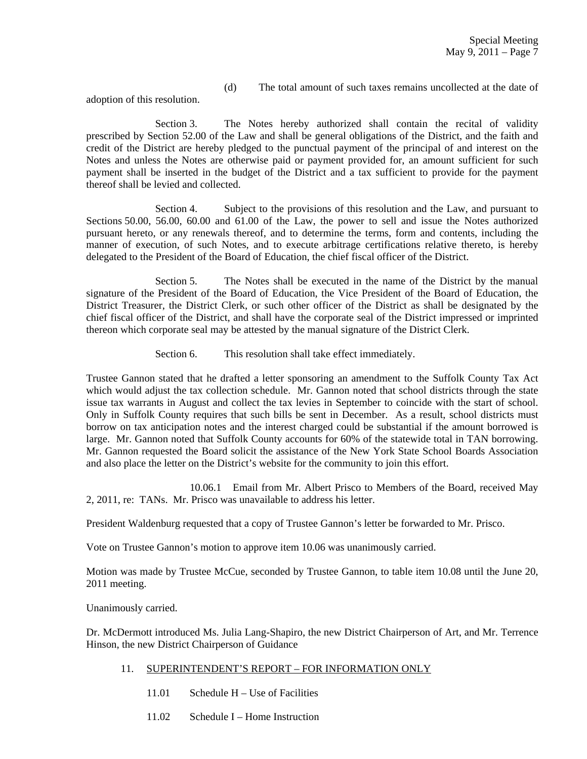(d) The total amount of such taxes remains uncollected at the date of

adoption of this resolution.

Section 3. The Notes hereby authorized shall contain the recital of validity prescribed by Section 52.00 of the Law and shall be general obligations of the District, and the faith and credit of the District are hereby pledged to the punctual payment of the principal of and interest on the Notes and unless the Notes are otherwise paid or payment provided for, an amount sufficient for such payment shall be inserted in the budget of the District and a tax sufficient to provide for the payment thereof shall be levied and collected.

Section 4. Subject to the provisions of this resolution and the Law, and pursuant to Sections 50.00, 56.00, 60.00 and 61.00 of the Law, the power to sell and issue the Notes authorized pursuant hereto, or any renewals thereof, and to determine the terms, form and contents, including the manner of execution, of such Notes, and to execute arbitrage certifications relative thereto, is hereby delegated to the President of the Board of Education, the chief fiscal officer of the District.

Section 5. The Notes shall be executed in the name of the District by the manual signature of the President of the Board of Education, the Vice President of the Board of Education, the District Treasurer, the District Clerk, or such other officer of the District as shall be designated by the chief fiscal officer of the District, and shall have the corporate seal of the District impressed or imprinted thereon which corporate seal may be attested by the manual signature of the District Clerk.

Section 6. This resolution shall take effect immediately.

Trustee Gannon stated that he drafted a letter sponsoring an amendment to the Suffolk County Tax Act which would adjust the tax collection schedule. Mr. Gannon noted that school districts through the state issue tax warrants in August and collect the tax levies in September to coincide with the start of school. Only in Suffolk County requires that such bills be sent in December. As a result, school districts must borrow on tax anticipation notes and the interest charged could be substantial if the amount borrowed is large. Mr. Gannon noted that Suffolk County accounts for 60% of the statewide total in TAN borrowing. Mr. Gannon requested the Board solicit the assistance of the New York State School Boards Association and also place the letter on the District's website for the community to join this effort.

 10.06.1 Email from Mr. Albert Prisco to Members of the Board, received May 2, 2011, re: TANs. Mr. Prisco was unavailable to address his letter.

President Waldenburg requested that a copy of Trustee Gannon's letter be forwarded to Mr. Prisco.

Vote on Trustee Gannon's motion to approve item 10.06 was unanimously carried.

Motion was made by Trustee McCue, seconded by Trustee Gannon, to table item 10.08 until the June 20, 2011 meeting.

Unanimously carried.

Dr. McDermott introduced Ms. Julia Lang-Shapiro, the new District Chairperson of Art, and Mr. Terrence Hinson, the new District Chairperson of Guidance

- 11. SUPERINTENDENT'S REPORT FOR INFORMATION ONLY
	- 11.01 Schedule H Use of Facilities
	- 11.02 Schedule I Home Instruction